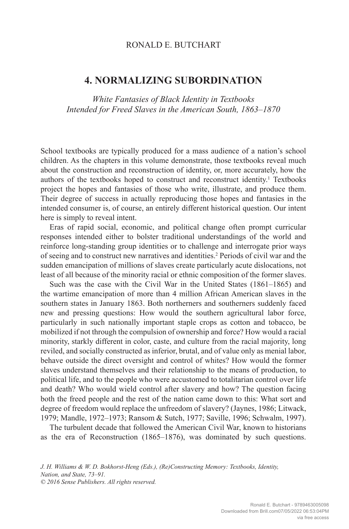## RONALD E. BUTCHART

# **4. NORMALIZING SUBORDINATION**

*White Fantasies of Black Identity in Textbooks Intended for Freed Slaves in the American South, 1863–1870*

School textbooks are typically produced for a mass audience of a nation's school children. As the chapters in this volume demonstrate, those textbooks reveal much about the construction and reconstruction of identity, or, more accurately, how the authors of the textbooks hoped to construct and reconstruct identity.<sup>1</sup> Textbooks project the hopes and fantasies of those who write, illustrate, and produce them. Their degree of success in actually reproducing those hopes and fantasies in the intended consumer is, of course, an entirely different historical question. Our intent here is simply to reveal intent.

Eras of rapid social, economic, and political change often prompt curricular responses intended either to bolster traditional understandings of the world and reinforce long-standing group identities or to challenge and interrogate prior ways of seeing and to construct new narratives and identities.<sup>2</sup> Periods of civil war and the sudden emancipation of millions of slaves create particularly acute dislocations, not least of all because of the minority racial or ethnic composition of the former slaves.

Such was the case with the Civil War in the United States (1861–1865) and the wartime emancipation of more than 4 million African American slaves in the southern states in January 1863. Both northerners and southerners suddenly faced new and pressing questions: How would the southern agricultural labor force, particularly in such nationally important staple crops as cotton and tobacco, be mobilized if not through the compulsion of ownership and force? How would a racial minority, starkly different in color, caste, and culture from the racial majority, long reviled, and socially constructed as inferior, brutal, and of value only as menial labor, behave outside the direct oversight and control of whites? How would the former slaves understand themselves and their relationship to the means of production, to political life, and to the people who were accustomed to totalitarian control over life and death? Who would wield control after slavery and how? The question facing both the freed people and the rest of the nation came down to this: What sort and degree of freedom would replace the unfreedom of slavery? (Jaynes, 1986; Litwack, 1979; Mandle, 1972–1973; Ransom & Sutch, 1977; Saville, 1996; Schwalm, 1997).

The turbulent decade that followed the American Civil War, known to historians as the era of Reconstruction (1865–1876), was dominated by such questions.

*J. H. Williams & W. D. Bokhorst-Heng (Eds.), (Re)Constructing Memory: Textbooks, Identity, Nation, and State, 73–91. © 2016 Sense Publishers. All rights reserved.*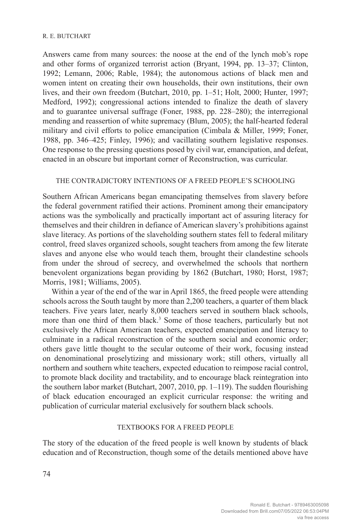Answers came from many sources: the noose at the end of the lynch mob's rope and other forms of organized terrorist action (Bryant, 1994, pp. 13–37; Clinton, 1992; Lemann, 2006; Rable, 1984); the autonomous actions of black men and women intent on creating their own households, their own institutions, their own lives, and their own freedom (Butchart, 2010, pp. 1–51; Holt, 2000; Hunter, 1997; Medford, 1992); congressional actions intended to finalize the death of slavery and to guarantee universal suffrage (Foner, 1988, pp. 228–280); the interregional mending and reassertion of white supremacy (Blum, 2005); the half-hearted federal military and civil efforts to police emancipation (Cimbala & Miller, 1999; Foner, 1988, pp. 346–425; Finley, 1996); and vacillating southern legislative responses. One response to the pressing questions posed by civil war, emancipation, and defeat, enacted in an obscure but important corner of Reconstruction, was curricular.

## THE CONTRADICTORY INTENTIONS OF A FREED PEOPLE'S SCHOOLING

Southern African Americans began emancipating themselves from slavery before the federal government ratified their actions. Prominent among their emancipatory actions was the symbolically and practically important act of assuring literacy for themselves and their children in defiance of American slavery's prohibitions against slave literacy. As portions of the slaveholding southern states fell to federal military control, freed slaves organized schools, sought teachers from among the few literate slaves and anyone else who would teach them, brought their clandestine schools from under the shroud of secrecy, and overwhelmed the schools that northern benevolent organizations began providing by 1862 (Butchart, 1980; Horst, 1987; Morris, 1981; Williams, 2005).

Within a year of the end of the war in April 1865, the freed people were attending schools across the South taught by more than 2,200 teachers, a quarter of them black teachers. Five years later, nearly 8,000 teachers served in southern black schools, more than one third of them black.<sup>3</sup> Some of those teachers, particularly but not exclusively the African American teachers, expected emancipation and literacy to culminate in a radical reconstruction of the southern social and economic order; others gave little thought to the secular outcome of their work, focusing instead on denominational proselytizing and missionary work; still others, virtually all northern and southern white teachers, expected education to reimpose racial control, to promote black docility and tractability, and to encourage black reintegration into the southern labor market (Butchart, 2007, 2010, pp. 1–119). The sudden flourishing of black education encouraged an explicit curricular response: the writing and publication of curricular material exclusively for southern black schools.

## TEXTBOOKS FOR A FREED PEOPLE

The story of the education of the freed people is well known by students of black education and of Reconstruction, though some of the details mentioned above have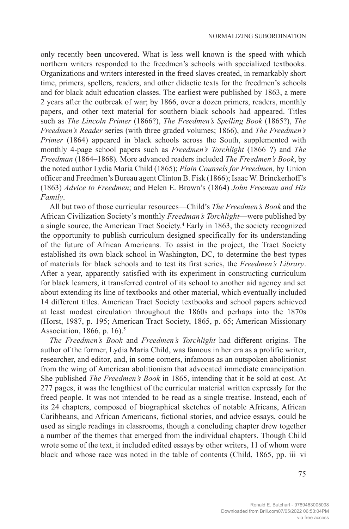only recently been uncovered. What is less well known is the speed with which northern writers responded to the freedmen's schools with specialized textbooks. Organizations and writers interested in the freed slaves created, in remarkably short time, primers, spellers, readers, and other didactic texts for the freedmen's schools and for black adult education classes. The earliest were published by 1863, a mere 2 years after the outbreak of war; by 1866, over a dozen primers, readers, monthly papers, and other text material for southern black schools had appeared. Titles such as *The Lincoln Primer* (1866?), *The Freedmen's Spelling Book* (1865?), *The Freedmen's Reader* series (with three graded volumes; 1866), and *The Freedmen's Primer* (1864) appeared in black schools across the South, supplemented with monthly 4-page school papers such as *Freedmen's Torchlight* (1866–?) and *The Freedman* (1864–1868)*.* More advanced readers included *The Freedmen's Book*, by the noted author Lydia Maria Child (1865); *Plain Counsels for Freedmen,* by Union officer and Freedmen's Bureau agent Clinton B. Fisk (1866); Isaac W. Brinckerhoff's (1863) *Advice to Freedmen*; and Helen E. Brown's (1864) *John Freeman and His Family*.

All but two of those curricular resources—Child's *The Freedmen's Book* and the African Civilization Society's monthly *Freedman's Torchlight*—were published by a single source, the American Tract Society.4 Early in 1863, the society recognized the opportunity to publish curriculum designed specifically for its understanding of the future of African Americans. To assist in the project, the Tract Society established its own black school in Washington, DC, to determine the best types of materials for black schools and to test its first series, the *Freedmen's Library*. After a year, apparently satisfied with its experiment in constructing curriculum for black learners, it transferred control of its school to another aid agency and set about extending its line of textbooks and other material, which eventually included 14 different titles. American Tract Society textbooks and school papers achieved at least modest circulation throughout the 1860s and perhaps into the 1870s (Horst, 1987, p. 195; American Tract Society, 1865, p. 65; American Missionary Association, 1866, p. 16).<sup>5</sup>

*The Freedmen's Book* and *Freedmen's Torchlight* had different origins. The author of the former, Lydia Maria Child, was famous in her era as a prolific writer, researcher, and editor, and, in some corners, infamous as an outspoken abolitionist from the wing of American abolitionism that advocated immediate emancipation. She published *The Freedmen's Book* in 1865, intending that it be sold at cost. At 277 pages, it was the lengthiest of the curricular material written expressly for the freed people. It was not intended to be read as a single treatise. Instead, each of its 24 chapters, composed of biographical sketches of notable Africans, African Caribbeans, and African Americans, fictional stories, and advice essays, could be used as single readings in classrooms, though a concluding chapter drew together a number of the themes that emerged from the individual chapters. Though Child wrote some of the text, it included edited essays by other writers, 11 of whom were black and whose race was noted in the table of contents (Child, 1865, pp. iii–vi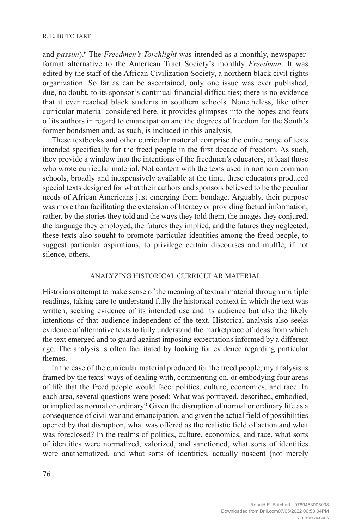and *passim*).<sup>6</sup> The *Freedmen's Torchlight* was intended as a monthly, newspaperformat alternative to the American Tract Society's monthly *Freedman*. It was edited by the staff of the African Civilization Society, a northern black civil rights organization. So far as can be ascertained, only one issue was ever published, due, no doubt, to its sponsor's continual financial difficulties; there is no evidence that it ever reached black students in southern schools. Nonetheless, like other curricular material considered here, it provides glimpses into the hopes and fears of its authors in regard to emancipation and the degrees of freedom for the South's former bondsmen and, as such, is included in this analysis.

These textbooks and other curricular material comprise the entire range of texts intended specifically for the freed people in the first decade of freedom. As such, they provide a window into the intentions of the freedmen's educators, at least those who wrote curricular material. Not content with the texts used in northern common schools, broadly and inexpensively available at the time, these educators produced special texts designed for what their authors and sponsors believed to be the peculiar needs of African Americans just emerging from bondage. Arguably, their purpose was more than facilitating the extension of literacy or providing factual information; rather, by the stories they told and the ways they told them, the images they conjured, the language they employed, the futures they implied, and the futures they neglected, these texts also sought to promote particular identities among the freed people, to suggest particular aspirations, to privilege certain discourses and muffle, if not silence, others.

## ANALYZING HISTORICAL CURRICULAR MATERIAL

Historians attempt to make sense of the meaning of textual material through multiple readings, taking care to understand fully the historical context in which the text was written, seeking evidence of its intended use and its audience but also the likely intentions of that audience independent of the text. Historical analysis also seeks evidence of alternative texts to fully understand the marketplace of ideas from which the text emerged and to guard against imposing expectations informed by a different age. The analysis is often facilitated by looking for evidence regarding particular themes.

In the case of the curricular material produced for the freed people, my analysis is framed by the texts' ways of dealing with, commenting on, or embodying four areas of life that the freed people would face: politics, culture, economics, and race. In each area, several questions were posed: What was portrayed, described, embodied, or implied as normal or ordinary? Given the disruption of normal or ordinary life as a consequence of civil war and emancipation, and given the actual field of possibilities opened by that disruption, what was offered as the realistic field of action and what was foreclosed? In the realms of politics, culture, economics, and race, what sorts of identities were normalized, valorized, and sanctioned, what sorts of identities were anathematized, and what sorts of identities, actually nascent (not merely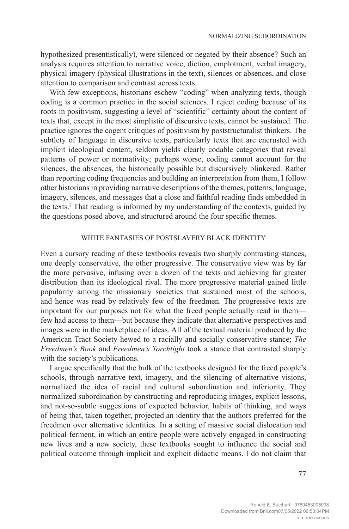hypothesized presentistically), were silenced or negated by their absence? Such an analysis requires attention to narrative voice, diction, emplotment, verbal imagery, physical imagery (physical illustrations in the text), silences or absences, and close attention to comparison and contrast across texts.

With few exceptions, historians eschew "coding" when analyzing texts, though coding is a common practice in the social sciences. I reject coding because of its roots in positivism, suggesting a level of "scientific" certainty about the content of texts that, except in the most simplistic of discursive texts, cannot be sustained. The practice ignores the cogent critiques of positivism by poststructuralist thinkers. The subtlety of language in discursive texts, particularly texts that are encrusted with implicit ideological content, seldom yields clearly codable categories that reveal patterns of power or normativity; perhaps worse, coding cannot account for the silences, the absences, the historically possible but discursively blinkered. Rather than reporting coding frequencies and building an interpretation from them, I follow other historians in providing narrative descriptions of the themes, patterns, language, imagery, silences, and messages that a close and faithful reading finds embedded in the texts.7 That reading is informed by my understanding of the contexts, guided by the questions posed above, and structured around the four specific themes.

## WHITE FANTASIES OF POSTSLAVERY BLACK IDENTITY

Even a cursory reading of these textbooks reveals two sharply contrasting stances, one deeply conservative, the other progressive. The conservative view was by far the more pervasive, infusing over a dozen of the texts and achieving far greater distribution than its ideological rival. The more progressive material gained little popularity among the missionary societies that sustained most of the schools, and hence was read by relatively few of the freedmen. The progressive texts are important for our purposes not for what the freed people actually read in them few had access to them—but because they indicate that alternative perspectives and images were in the marketplace of ideas. All of the textual material produced by the American Tract Society hewed to a racially and socially conservative stance; *The Freedmen's Book* and *Freedmen's Torchlight* took a stance that contrasted sharply with the society's publications.

I argue specifically that the bulk of the textbooks designed for the freed people's schools, through narrative text, imagery, and the silencing of alternative visions, normalized the idea of racial and cultural subordination and inferiority. They normalized subordination by constructing and reproducing images, explicit lessons, and not-so-subtle suggestions of expected behavior, habits of thinking, and ways of being that, taken together, projected an identity that the authors preferred for the freedmen over alternative identities. In a setting of massive social dislocation and political ferment, in which an entire people were actively engaged in constructing new lives and a new society, these textbooks sought to influence the social and political outcome through implicit and explicit didactic means. I do not claim that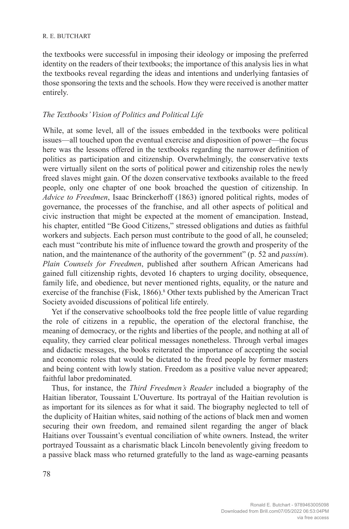the textbooks were successful in imposing their ideology or imposing the preferred identity on the readers of their textbooks; the importance of this analysis lies in what the textbooks reveal regarding the ideas and intentions and underlying fantasies of those sponsoring the texts and the schools. How they were received is another matter entirely.

## *The Textbooks' Vision of Politics and Political Life*

While, at some level, all of the issues embedded in the textbooks were political issues—all touched upon the eventual exercise and disposition of power—the focus here was the lessons offered in the textbooks regarding the narrower definition of politics as participation and citizenship. Overwhelmingly, the conservative texts were virtually silent on the sorts of political power and citizenship roles the newly freed slaves might gain. Of the dozen conservative textbooks available to the freed people, only one chapter of one book broached the question of citizenship. In *Advice to Freedmen*, Isaac Brinckerhoff (1863) ignored political rights, modes of governance, the processes of the franchise, and all other aspects of political and civic instruction that might be expected at the moment of emancipation. Instead, his chapter, entitled "Be Good Citizens," stressed obligations and duties as faithful workers and subjects. Each person must contribute to the good of all, he counseled; each must "contribute his mite of influence toward the growth and prosperity of the nation, and the maintenance of the authority of the government" (p. 52 and *passim*). *Plain Counsels for Freedmen*, published after southern African Americans had gained full citizenship rights, devoted 16 chapters to urging docility, obsequence, family life, and obedience, but never mentioned rights, equality, or the nature and exercise of the franchise (Fisk, 1866).<sup>8</sup> Other texts published by the American Tract Society avoided discussions of political life entirely.

Yet if the conservative schoolbooks told the free people little of value regarding the role of citizens in a republic, the operation of the electoral franchise, the meaning of democracy, or the rights and liberties of the people, and nothing at all of equality, they carried clear political messages nonetheless. Through verbal images and didactic messages, the books reiterated the importance of accepting the social and economic roles that would be dictated to the freed people by former masters and being content with lowly station. Freedom as a positive value never appeared; faithful labor predominated.

Thus, for instance, the *Third Freedmen's Reader* included a biography of the Haitian liberator, Toussaint L'Ouverture. Its portrayal of the Haitian revolution is as important for its silences as for what it said. The biography neglected to tell of the duplicity of Haitian whites, said nothing of the actions of black men and women securing their own freedom, and remained silent regarding the anger of black Haitians over Toussaint's eventual conciliation of white owners. Instead, the writer portrayed Toussaint as a charismatic black Lincoln benevolently giving freedom to a passive black mass who returned gratefully to the land as wage-earning peasants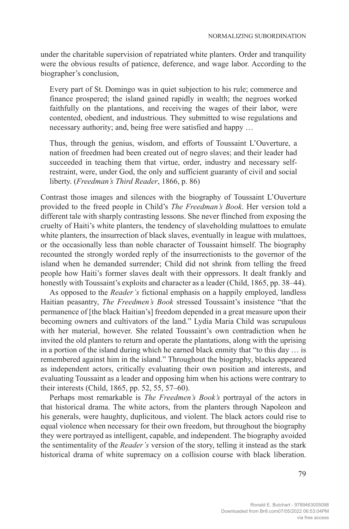under the charitable supervision of repatriated white planters. Order and tranquility were the obvious results of patience, deference, and wage labor. According to the biographer's conclusion,

Every part of St. Domingo was in quiet subjection to his rule; commerce and finance prospered; the island gained rapidly in wealth; the negroes worked faithfully on the plantations, and receiving the wages of their labor, were contented, obedient, and industrious. They submitted to wise regulations and necessary authority; and, being free were satisfied and happy …

Thus, through the genius, wisdom, and efforts of Toussaint L'Ouverture, a nation of freedmen had been created out of negro slaves; and their leader had succeeded in teaching them that virtue, order, industry and necessary selfrestraint, were, under God, the only and sufficient guaranty of civil and social liberty. (*Freedman's Third Reader*, 1866, p. 86)

Contrast those images and silences with the biography of Toussaint L'Ouverture provided to the freed people in Child's *The Freedman's Book*. Her version told a different tale with sharply contrasting lessons. She never flinched from exposing the cruelty of Haiti's white planters, the tendency of slaveholding mulattoes to emulate white planters, the insurrection of black slaves, eventually in league with mulattoes, or the occasionally less than noble character of Toussaint himself. The biography recounted the strongly worded reply of the insurrectionists to the governor of the island when he demanded surrender; Child did not shrink from telling the freed people how Haiti's former slaves dealt with their oppressors. It dealt frankly and honestly with Toussaint's exploits and character as a leader (Child, 1865, pp. 38–44).

As opposed to the *Reader's* fictional emphasis on a happily employed, landless Haitian peasantry, *The Freedmen's Book* stressed Toussaint's insistence "that the permanence of [the black Haitian's] freedom depended in a great measure upon their becoming owners and cultivators of the land." Lydia Maria Child was scrupulous with her material, however. She related Toussaint's own contradiction when he invited the old planters to return and operate the plantations, along with the uprising in a portion of the island during which he earned black enmity that "to this day … is remembered against him in the island." Throughout the biography, blacks appeared as independent actors, critically evaluating their own position and interests, and evaluating Toussaint as a leader and opposing him when his actions were contrary to their interests (Child, 1865, pp. 52, 55, 57–60).

Perhaps most remarkable is *The Freedmen's Book's* portrayal of the actors in that historical drama. The white actors, from the planters through Napoleon and his generals, were haughty, duplicitous, and violent. The black actors could rise to equal violence when necessary for their own freedom, but throughout the biography they were portrayed as intelligent, capable, and independent. The biography avoided the sentimentality of the *Reader's* version of the story, telling it instead as the stark historical drama of white supremacy on a collision course with black liberation.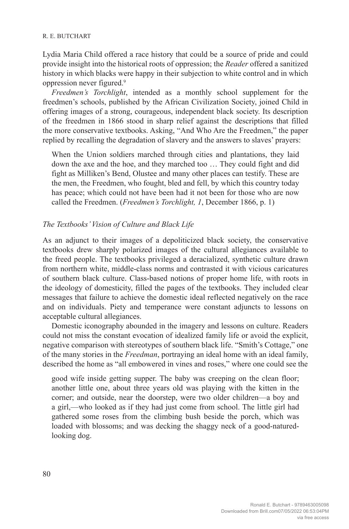Lydia Maria Child offered a race history that could be a source of pride and could provide insight into the historical roots of oppression; the *Reader* offered a sanitized history in which blacks were happy in their subjection to white control and in which oppression never figured.9

*Freedmen's Torchlight*, intended as a monthly school supplement for the freedmen's schools, published by the African Civilization Society, joined Child in offering images of a strong, courageous, independent black society. Its description of the freedmen in 1866 stood in sharp relief against the descriptions that filled the more conservative textbooks. Asking, "And Who Are the Freedmen," the paper replied by recalling the degradation of slavery and the answers to slaves' prayers:

When the Union soldiers marched through cities and plantations, they laid down the axe and the hoe, and they marched too … They could fight and did fight as Milliken's Bend, Olustee and many other places can testify. These are the men, the Freedmen, who fought, bled and fell, by which this country today has peace; which could not have been had it not been for those who are now called the Freedmen. (*Freedmen's Torchlight, 1*, December 1866, p. 1)

## *The Textbooks' Vision of Culture and Black Life*

As an adjunct to their images of a depoliticized black society, the conservative textbooks drew sharply polarized images of the cultural allegiances available to the freed people. The textbooks privileged a deracialized, synthetic culture drawn from northern white, middle-class norms and contrasted it with vicious caricatures of southern black culture. Class-based notions of proper home life, with roots in the ideology of domesticity, filled the pages of the textbooks. They included clear messages that failure to achieve the domestic ideal reflected negatively on the race and on individuals. Piety and temperance were constant adjuncts to lessons on acceptable cultural allegiances.

Domestic iconography abounded in the imagery and lessons on culture. Readers could not miss the constant evocation of idealized family life or avoid the explicit, negative comparison with stereotypes of southern black life. "Smith's Cottage," one of the many stories in the *Freedman*, portraying an ideal home with an ideal family, described the home as "all embowered in vines and roses," where one could see the

good wife inside getting supper. The baby was creeping on the clean floor; another little one, about three years old was playing with the kitten in the corner; and outside, near the doorstep, were two older children—a boy and a girl,—who looked as if they had just come from school. The little girl had gathered some roses from the climbing bush beside the porch, which was loaded with blossoms; and was decking the shaggy neck of a good-naturedlooking dog.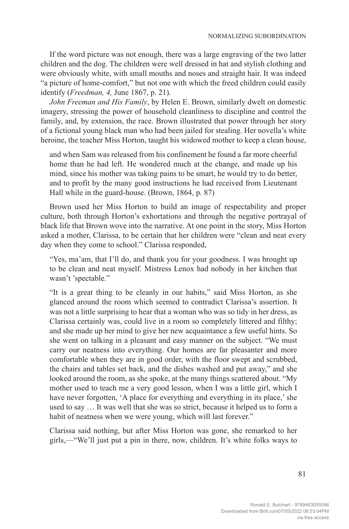If the word picture was not enough, there was a large engraving of the two latter children and the dog. The children were well dressed in hat and stylish clothing and were obviously white, with small mouths and noses and straight hair. It was indeed "a picture of home-comfort," but not one with which the freed children could easily identify (*Freedman, 4,* June 1867, p. 21).

*John Freeman and His Family*, by Helen E. Brown, similarly dwelt on domestic imagery, stressing the power of household cleanliness to discipline and control the family, and, by extension, the race. Brown illustrated that power through her story of a fictional young black man who had been jailed for stealing. Her novella's white heroine, the teacher Miss Horton, taught his widowed mother to keep a clean house,

and when Sam was released from his confinement he found a far more cheerful home than he had left. He wondered much at the change, and made up his mind, since his mother was taking pains to be smart, he would try to do better, and to profit by the many good instructions he had received from Lieutenant Hall while in the guard-house. (Brown, 1864, p. 87)

Brown used her Miss Horton to build an image of respectability and proper culture, both through Horton's exhortations and through the negative portrayal of black life that Brown wove into the narrative. At one point in the story, Miss Horton asked a mother, Clarissa, to be certain that her children were "clean and neat every day when they come to school." Clarissa responded,

"Yes, ma'am, that I'll do, and thank you for your goodness. I was brought up to be clean and neat myself. Mistress Lenox had nobody in her kitchen that wasn't 'spectable."

"It is a great thing to be cleanly in our habits," said Miss Horton, as she glanced around the room which seemed to contradict Clarissa's assertion. It was not a little surprising to hear that a woman who was so tidy in her dress, as Clarissa certainly was, could live in a room so completely littered and filthy; and she made up her mind to give her new acquaintance a few useful hints. So she went on talking in a pleasant and easy manner on the subject. "We must carry our neatness into everything. Our homes are far pleasanter and more comfortable when they are in good order, with the floor swept and scrubbed, the chairs and tables set back, and the dishes washed and put away," and she looked around the room, as she spoke, at the many things scattered about. "My mother used to teach me a very good lesson, when I was a little girl, which I have never forgotten, 'A place for everything and everything in its place,' she used to say … It was well that she was so strict, because it helped us to form a habit of neatness when we were young, which will last forever."

Clarissa said nothing, but after Miss Horton was gone, she remarked to her girls,—"We'll just put a pin in there, now, children. It's white folks ways to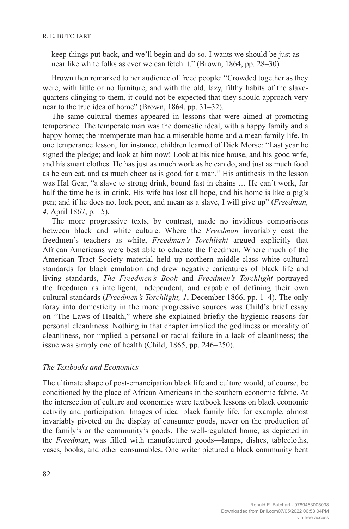keep things put back, and we'll begin and do so. I wants we should be just as near like white folks as ever we can fetch it." (Brown, 1864, pp. 28–30)

Brown then remarked to her audience of freed people: "Crowded together as they were, with little or no furniture, and with the old, lazy, filthy habits of the slavequarters clinging to them, it could not be expected that they should approach very near to the true idea of home" (Brown, 1864, pp. 31–32).

The same cultural themes appeared in lessons that were aimed at promoting temperance. The temperate man was the domestic ideal, with a happy family and a happy home; the intemperate man had a miserable home and a mean family life. In one temperance lesson, for instance, children learned of Dick Morse: "Last year he signed the pledge; and look at him now! Look at his nice house, and his good wife, and his smart clothes. He has just as much work as he can do, and just as much food as he can eat, and as much cheer as is good for a man." His antithesis in the lesson was Hal Gear, "a slave to strong drink, bound fast in chains … He can't work, for half the time he is in drink. His wife has lost all hope, and his home is like a pig's pen; and if he does not look poor, and mean as a slave, I will give up" (*Freedman, 4,* April 1867, p. 15).

The more progressive texts, by contrast, made no invidious comparisons between black and white culture. Where the *Freedman* invariably cast the freedmen's teachers as white, *Freedman's Torchlight* argued explicitly that African Americans were best able to educate the freedmen. Where much of the American Tract Society material held up northern middle-class white cultural standards for black emulation and drew negative caricatures of black life and living standards, *The Freedmen's Book* and *Freedmen's Torchlight* portrayed the freedmen as intelligent, independent, and capable of defining their own cultural standards (*Freedmen's Torchlight, 1*, December 1866, pp. 1–4). The only foray into domesticity in the more progressive sources was Child's brief essay on "The Laws of Health," where she explained briefly the hygienic reasons for personal cleanliness. Nothing in that chapter implied the godliness or morality of cleanliness, nor implied a personal or racial failure in a lack of cleanliness; the issue was simply one of health (Child, 1865, pp. 246–250).

## *The Textbooks and Economics*

The ultimate shape of post-emancipation black life and culture would, of course, be conditioned by the place of African Americans in the southern economic fabric. At the intersection of culture and economics were textbook lessons on black economic activity and participation. Images of ideal black family life, for example, almost invariably pivoted on the display of consumer goods, never on the production of the family's or the community's goods. The well-regulated home, as depicted in the *Freedman*, was filled with manufactured goods—lamps, dishes, tablecloths, vases, books, and other consumables. One writer pictured a black community bent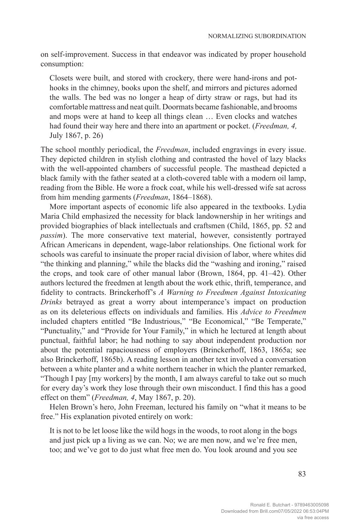on self-improvement. Success in that endeavor was indicated by proper household consumption:

Closets were built, and stored with crockery, there were hand-irons and pothooks in the chimney, books upon the shelf, and mirrors and pictures adorned the walls. The bed was no longer a heap of dirty straw or rags, but had its comfortable mattress and neat quilt. Doormats became fashionable, and brooms and mops were at hand to keep all things clean … Even clocks and watches had found their way here and there into an apartment or pocket. (*Freedman, 4,*  July 1867, p. 26)

The school monthly periodical, the *Freedman*, included engravings in every issue. They depicted children in stylish clothing and contrasted the hovel of lazy blacks with the well-appointed chambers of successful people. The masthead depicted a black family with the father seated at a cloth-covered table with a modern oil lamp, reading from the Bible. He wore a frock coat, while his well-dressed wife sat across from him mending garments (*Freedman*, 1864–1868).

More important aspects of economic life also appeared in the textbooks. Lydia Maria Child emphasized the necessity for black landownership in her writings and provided biographies of black intellectuals and craftsmen (Child, 1865, pp. 52 and *passim*). The more conservative text material, however, consistently portrayed African Americans in dependent, wage-labor relationships. One fictional work for schools was careful to insinuate the proper racial division of labor, where whites did "the thinking and planning," while the blacks did the "washing and ironing," raised the crops, and took care of other manual labor (Brown, 1864, pp. 41–42). Other authors lectured the freedmen at length about the work ethic, thrift, temperance, and fidelity to contracts. Brinckerhoff's *A Warning to Freedmen Against Intoxicating Drinks* betrayed as great a worry about intemperance's impact on production as on its deleterious effects on individuals and families. His *Advice to Freedmen* included chapters entitled "Be Industrious," "Be Economical," "Be Temperate," "Punctuality," and "Provide for Your Family," in which he lectured at length about punctual, faithful labor; he had nothing to say about independent production nor about the potential rapaciousness of employers (Brinckerhoff, 1863, 1865a; see also Brinckerhoff, 1865b). A reading lesson in another text involved a conversation between a white planter and a white northern teacher in which the planter remarked, "Though I pay [my workers] by the month, I am always careful to take out so much for every day's work they lose through their own misconduct. I find this has a good effect on them" (*Freedman, 4*, May 1867, p. 20).

Helen Brown's hero, John Freeman, lectured his family on "what it means to be free." His explanation pivoted entirely on work:

It is not to be let loose like the wild hogs in the woods, to root along in the bogs and just pick up a living as we can. No; we are men now, and we're free men, too; and we've got to do just what free men do. You look around and you see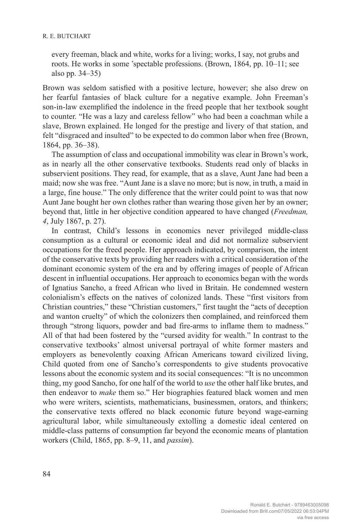every freeman, black and white, works for a living; works, I say, not grubs and roots. He works in some 'spectable professions. (Brown, 1864, pp. 10–11; see also pp. 34–35)

Brown was seldom satisfied with a positive lecture, however; she also drew on her fearful fantasies of black culture for a negative example. John Freeman's son-in-law exemplified the indolence in the freed people that her textbook sought to counter. "He was a lazy and careless fellow" who had been a coachman while a slave, Brown explained. He longed for the prestige and livery of that station, and felt "disgraced and insulted" to be expected to do common labor when free (Brown, 1864, pp. 36–38).

The assumption of class and occupational immobility was clear in Brown's work, as in nearly all the other conservative textbooks. Students read only of blacks in subservient positions. They read, for example, that as a slave, Aunt Jane had been a maid; now she was free. "Aunt Jane is a slave no more; but is now, in truth, a maid in a large, fine house." The only difference that the writer could point to was that now Aunt Jane bought her own clothes rather than wearing those given her by an owner; beyond that, little in her objective condition appeared to have changed (*Freedman, 4*, July 1867, p. 27).

In contrast, Child's lessons in economics never privileged middle-class consumption as a cultural or economic ideal and did not normalize subservient occupations for the freed people. Her approach indicated, by comparison, the intent of the conservative texts by providing her readers with a critical consideration of the dominant economic system of the era and by offering images of people of African descent in influential occupations. Her approach to economics began with the words of Ignatius Sancho, a freed African who lived in Britain. He condemned western colonialism's effects on the natives of colonized lands. These "first visitors from Christian countries," these "Christian customers," first taught the "acts of deception and wanton cruelty" of which the colonizers then complained, and reinforced them through "strong liquors, powder and bad fire-arms to inflame them to madness." All of that had been fostered by the "cursed avidity for wealth." In contrast to the conservative textbooks' almost universal portrayal of white former masters and employers as benevolently coaxing African Americans toward civilized living, Child quoted from one of Sancho's correspondents to give students provocative lessons about the economic system and its social consequences: "It is no uncommon thing, my good Sancho, for one half of the world to *use* the other half like brutes, and then endeavor to *make* them so." Her biographies featured black women and men who were writers, scientists, mathematicians, businessmen, orators, and thinkers; the conservative texts offered no black economic future beyond wage-earning agricultural labor, while simultaneously extolling a domestic ideal centered on middle-class patterns of consumption far beyond the economic means of plantation workers (Child, 1865, pp. 8–9, 11, and *passim*).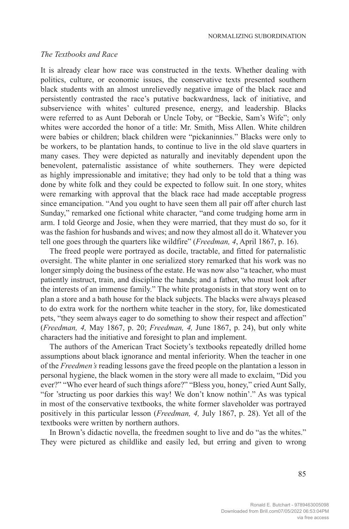## *The Textbooks and Race*

It is already clear how race was constructed in the texts. Whether dealing with politics, culture, or economic issues, the conservative texts presented southern black students with an almost unrelievedly negative image of the black race and persistently contrasted the race's putative backwardness, lack of initiative, and subservience with whites' cultured presence, energy, and leadership. Blacks were referred to as Aunt Deborah or Uncle Toby, or "Beckie, Sam's Wife"; only whites were accorded the honor of a title: Mr. Smith, Miss Allen. White children were babies or children; black children were "pickaninnies." Blacks were only to be workers, to be plantation hands, to continue to live in the old slave quarters in many cases. They were depicted as naturally and inevitably dependent upon the benevolent, paternalistic assistance of white southerners. They were depicted as highly impressionable and imitative; they had only to be told that a thing was done by white folk and they could be expected to follow suit. In one story, whites were remarking with approval that the black race had made acceptable progress since emancipation. "And you ought to have seen them all pair off after church last Sunday," remarked one fictional white character, "and come trudging home arm in arm. I told George and Josie, when they were married, that they must do so, for it was the fashion for husbands and wives; and now they almost all do it. Whatever you tell one goes through the quarters like wildfire" (*Freedman, 4*, April 1867, p. 16).

The freed people were portrayed as docile, tractable, and fitted for paternalistic oversight. The white planter in one serialized story remarked that his work was no longer simply doing the business of the estate. He was now also "a teacher, who must patiently instruct, train, and discipline the hands; and a father, who must look after the interests of an immense family." The white protagonists in that story went on to plan a store and a bath house for the black subjects. The blacks were always pleased to do extra work for the northern white teacher in the story, for, like domesticated pets, "they seem always eager to do something to show their respect and affection" (*Freedman, 4,* May 1867, p. 20; *Freedman, 4,* June 1867, p. 24), but only white characters had the initiative and foresight to plan and implement.

The authors of the American Tract Society's textbooks repeatedly drilled home assumptions about black ignorance and mental inferiority. When the teacher in one of the *Freedmen's* reading lessons gave the freed people on the plantation a lesson in personal hygiene, the black women in the story were all made to exclaim, "Did you ever?" "Who ever heard of such things afore?" "Bless you, honey," cried Aunt Sally, "for 'structing us poor darkies this way! We don't know nothin'." As was typical in most of the conservative textbooks, the white former slaveholder was portrayed positively in this particular lesson (*Freedman, 4,* July 1867, p. 28). Yet all of the textbooks were written by northern authors.

In Brown's didactic novella, the freedmen sought to live and do "as the whites." They were pictured as childlike and easily led, but erring and given to wrong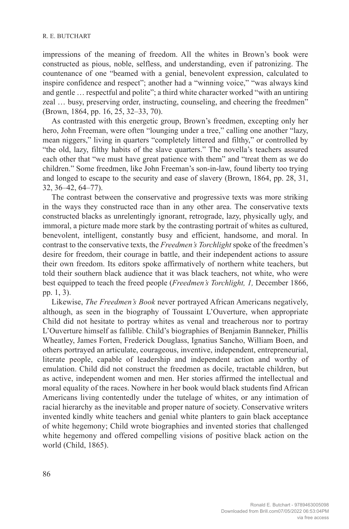impressions of the meaning of freedom. All the whites in Brown's book were constructed as pious, noble, selfless, and understanding, even if patronizing. The countenance of one "beamed with a genial, benevolent expression, calculated to inspire confidence and respect"; another had a "winning voice," "was always kind and gentle … respectful and polite"; a third white character worked "with an untiring zeal … busy, preserving order, instructing, counseling, and cheering the freedmen" (Brown, 1864, pp. 16, 25, 32–33, 70).

As contrasted with this energetic group, Brown's freedmen, excepting only her hero, John Freeman, were often "lounging under a tree," calling one another "lazy, mean niggers," living in quarters "completely littered and filthy," or controlled by "the old, lazy, filthy habits of the slave quarters." The novella's teachers assured each other that "we must have great patience with them" and "treat them as we do children." Some freedmen, like John Freeman's son-in-law, found liberty too trying and longed to escape to the security and ease of slavery (Brown, 1864, pp. 28, 31, 32, 36–42, 64–77).

The contrast between the conservative and progressive texts was more striking in the ways they constructed race than in any other area. The conservative texts constructed blacks as unrelentingly ignorant, retrograde, lazy, physically ugly, and immoral, a picture made more stark by the contrasting portrait of whites as cultured, benevolent, intelligent, constantly busy and efficient, handsome, and moral. In contrast to the conservative texts, the *Freedmen's Torchlight* spoke of the freedmen's desire for freedom, their courage in battle, and their independent actions to assure their own freedom. Its editors spoke affirmatively of northern white teachers, but told their southern black audience that it was black teachers, not white, who were best equipped to teach the freed people (*Freedmen's Torchlight, 1,* December 1866, pp. 1, 3).

Likewise, *The Freedmen's Book* never portrayed African Americans negatively, although, as seen in the biography of Toussaint L'Ouverture, when appropriate Child did not hesitate to portray whites as venal and treacherous nor to portray L'Ouverture himself as fallible. Child's biographies of Benjamin Banneker, Phillis Wheatley, James Forten, Frederick Douglass, Ignatius Sancho, William Boen, and others portrayed an articulate, courageous, inventive, independent, entrepreneurial, literate people, capable of leadership and independent action and worthy of emulation. Child did not construct the freedmen as docile, tractable children, but as active, independent women and men. Her stories affirmed the intellectual and moral equality of the races. Nowhere in her book would black students find African Americans living contentedly under the tutelage of whites, or any intimation of racial hierarchy as the inevitable and proper nature of society. Conservative writers invented kindly white teachers and genial white planters to gain black acceptance of white hegemony; Child wrote biographies and invented stories that challenged white hegemony and offered compelling visions of positive black action on the world (Child, 1865).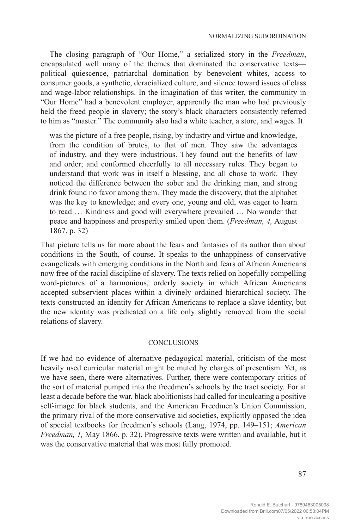The closing paragraph of "Our Home," a serialized story in the *Freedman*, encapsulated well many of the themes that dominated the conservative texts political quiescence, patriarchal domination by benevolent whites, access to consumer goods, a synthetic, deracialized culture, and silence toward issues of class and wage-labor relationships. In the imagination of this writer, the community in "Our Home" had a benevolent employer, apparently the man who had previously held the freed people in slavery; the story's black characters consistently referred to him as "master." The community also had a white teacher, a store, and wages. It

was the picture of a free people, rising, by industry and virtue and knowledge, from the condition of brutes, to that of men. They saw the advantages of industry, and they were industrious. They found out the benefits of law and order; and conformed cheerfully to all necessary rules. They began to understand that work was in itself a blessing, and all chose to work. They noticed the difference between the sober and the drinking man, and strong drink found no favor among them. They made the discovery, that the alphabet was the key to knowledge; and every one, young and old, was eager to learn to read … Kindness and good will everywhere prevailed … No wonder that peace and happiness and prosperity smiled upon them. (*Freedman, 4,* August 1867, p. 32)

That picture tells us far more about the fears and fantasies of its author than about conditions in the South, of course. It speaks to the unhappiness of conservative evangelicals with emerging conditions in the North and fears of African Americans now free of the racial discipline of slavery. The texts relied on hopefully compelling word-pictures of a harmonious, orderly society in which African Americans accepted subservient places within a divinely ordained hierarchical society. The texts constructed an identity for African Americans to replace a slave identity, but the new identity was predicated on a life only slightly removed from the social relations of slavery.

### **CONCLUSIONS**

If we had no evidence of alternative pedagogical material, criticism of the most heavily used curricular material might be muted by charges of presentism. Yet, as we have seen, there were alternatives. Further, there were contemporary critics of the sort of material pumped into the freedmen's schools by the tract society. For at least a decade before the war, black abolitionists had called for inculcating a positive self-image for black students, and the American Freedmen's Union Commission, the primary rival of the more conservative aid societies, explicitly opposed the idea of special textbooks for freedmen's schools (Lang, 1974, pp. 149–151; *American Freedman, 1,* May 1866, p. 32). Progressive texts were written and available, but it was the conservative material that was most fully promoted.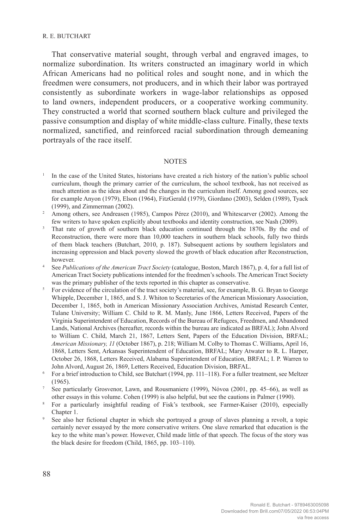That conservative material sought, through verbal and engraved images, to normalize subordination. Its writers constructed an imaginary world in which African Americans had no political roles and sought none, and in which the freedmen were consumers, not producers, and in which their labor was portrayed consistently as subordinate workers in wage-labor relationships as opposed to land owners, independent producers, or a cooperative working community. They constructed a world that scorned southern black culture and privileged the passive consumption and display of white middle-class culture. Finally, these texts normalized, sanctified, and reinforced racial subordination through demeaning portrayals of the race itself.

#### **NOTES**

- <sup>1</sup> In the case of the United States, historians have created a rich history of the nation's public school curriculum, though the primary carrier of the curriculum, the school textbook, has not received as much attention as the ideas about and the changes in the curriculum itself. Among good sources, see for example Anyon (1979), Elson (1964), FitzGerald (1979), Giordano (2003), Selden (1989), Tyack (1999), and Zimmerman (2002).
- <sup>2</sup> Among others, see Andreasen (1985), Campos Pérez (2010), and Whitescarver (2002). Among the few writers to have spoken explicitly about textbooks and identity construction, see Nash (2009).
- <sup>3</sup> That rate of growth of southern black education continued through the 1870s. By the end of Reconstruction, there were more than 10,000 teachers in southern black schools, fully two thirds of them black teachers (Butchart, 2010, p. 187). Subsequent actions by southern legislators and increasing oppression and black poverty slowed the growth of black education after Reconstruction, however.
- <sup>4</sup> See *Publications of the American Tract Society* (catalogue, Boston, March 1867), p. 4, for a full list of American Tract Society publications intended for the freedmen's schools. The American Tract Society was the primary publisher of the texts reported in this chapter as conservative.
- <sup>5</sup> For evidence of the circulation of the tract society's material, see, for example, B. G. Bryan to George Whipple, December 1, 1865, and S. J. Whiton to Secretaries of the American Missionary Association, December 1, 1865, both in American Missionary Association Archives, Amistad Research Center, Tulane University; William C. Child to R. M. Manly, June 1866, Letters Received, Papers of the Virginia Superintendent of Education, Records of the Bureau of Refugees, Freedmen, and Abandoned Lands, National Archives (hereafter, records within the bureau are indicated as BRFAL); John Alvord to William C. Child, March 21, 1867, Letters Sent, Papers of the Education Division, BRFAL; *American Missionary, 11* (October 1867), p. 218; William M. Colby to Thomas C. Williams, April 16, 1868, Letters Sent, Arkansas Superintendent of Education, BRFAL; Mary Atwater to R. L. Harper, October 26, 1868, Letters Received, Alabama Superintendent of Education, BRFAL; I. P. Warren to John Alvord, August 26, 1869, Letters Received, Education Division, BRFAL.
- <sup>6</sup> For a brief introduction to Child, see Butchart (1994, pp. 111–118). For a fuller treatment, see Meltzer (1965).
- <sup>7</sup> See particularly Grosvenor, Lawn, and Rousmaniere (1999), Nóvoa (2001, pp. 45–66), as well as other essays in this volume. Cohen (1999) is also helpful, but see the cautions in Palmer (1990).
- <sup>8</sup> For a particularly insightful reading of Fisk's textbook, see Farmer-Kaiser (2010), especially Chapter 1.
- <sup>9</sup> See also her fictional chapter in which she portrayed a group of slaves planning a revolt, a topic certainly never essayed by the more conservative writers. One slave remarked that education is the key to the white man's power. However, Child made little of that speech. The focus of the story was the black desire for freedom (Child, 1865, pp. 103–110).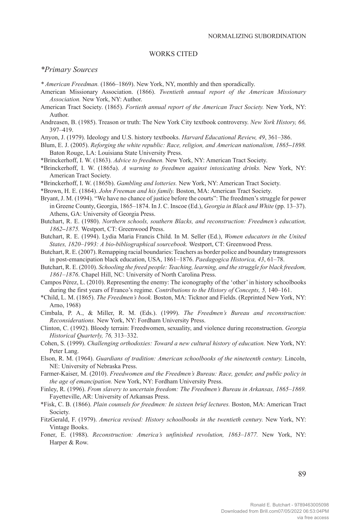### WORKS CITED

### *\*Primary Sources*

*\* American Freedman.* (1866–1869). New York, NY, monthly and then sporadically.

- American Missionary Association. (1866). *Twentieth annual report of the American Missionary Association.* New York, NY: Author.
- American Tract Society. (1865). *Fortieth annual report of the American Tract Society.* New York, NY: Author.
- Andreasen, B. (1985). Treason or truth: The New York City textbook controversy. *New York History, 66,*  397–419.

Anyon, J. (1979). Ideology and U.S. history textbooks. *Harvard Educational Review, 49*, 361–386.

Blum, E. J. (2005). *Reforging the white republic: Race, religion, and American nationalism, 1865–1898.*  Baton Rouge, LA: Louisiana State University Press.

\*Brinckerhoff, I. W. (1863). *Advice to freedmen.* New York, NY: American Tract Society.

- \*Brinckerhoff, I. W. (1865a). *A warning to freedmen against intoxicating drinks.* New York, NY: American Tract Society.
- \*Brinckerhoff, I. W. (1865b). *Gambling and lotteries.* New York, NY: American Tract Society.

\*Brown, H. E. (1864). *John Freeman and his family.* Boston, MA: American Tract Society.

- Bryant, J. M. (1994). "We have no chance of justice before the courts": The freedmen's struggle for power in Greene County, Georgia, 1865–1874. In J. C. Inscoe (Ed.), *Georgia in Black and White* (pp. 13–37). Athens, GA: University of Georgia Press.
- Butchart, R. E. (1980). *Northern schools, southern Blacks, and reconstruction: Freedmen's education, 1862–1875.* Westport, CT: Greenwood Press.
- Butchart, R. E. (1994). Lydia Maria Francis Child. In M. Seller (Ed.), *Women educators in the United States, 1820–1993: A bio-bibliographical sourcebook.* Westport, CT: Greenwood Press.
- Butchart, R. E. (2007). Remapping racial boundaries: Teachers as border police and boundary transgressors in post-emancipation black education, USA, 1861–1876. *Paedagogica Historica, 43*, 61–78.
- Butchart, R. E. (2010). *Schooling the freed people: Teaching, learning, and the struggle for black freedom, 1861–1876*. Chapel Hill, NC: University of North Carolina Press.
- Campos Pérez, L. (2010). Representing the enemy: The iconography of the 'other' in history schoolbooks during the first years of Franco's regime. *Contributions to the History of Concepts, 5,* 140–161.
- \*Child, L. M. (1865). *The Freedmen's book.* Boston, MA: Ticknor and Fields. (Reprinted New York, NY: Arno, 1968)
- Cimbala, P. A., & Miller, R. M. (Eds.). (1999). *The Freedmen's Bureau and reconstruction: Reconsiderations.* New York, NY: Fordham University Press.
- Clinton, C. (1992). Bloody terrain: Freedwomen, sexuality, and violence during reconstruction. *Georgia Historical Quarterly, 76,* 313–332.
- Cohen, S. (1999). *Challenging orthodoxies: Toward a new cultural history of education.* New York, NY: Peter Lang.
- Elson, R. M. (1964). *Guardians of tradition: American schoolbooks of the nineteenth century.* Lincoln, NE: University of Nebraska Press.
- Farmer-Kaiser, M. (2010). *Freedwomen and the Freedmen's Bureau: Race, gender, and public policy in the age of emancipation.* New York, NY: Fordham University Press.
- Finley, R. (1996). *From slavery to uncertain freedom: The Freedmen's Bureau in Arkansas, 1865–1869.*  Fayetteville, AR: University of Arkansas Press.
- \*Fisk, C. B. (1866). *Plain counsels for freedmen: In sixteen brief lectures.* Boston, MA: American Tract Society.
- FitzGerald, F. (1979). *America revised: History schoolbooks in the twentieth century*. New York, NY: Vintage Books.
- Foner, E. (1988). *Reconstruction: America's unfinished revolution, 1863–1877.* New York, NY: Harper & Row.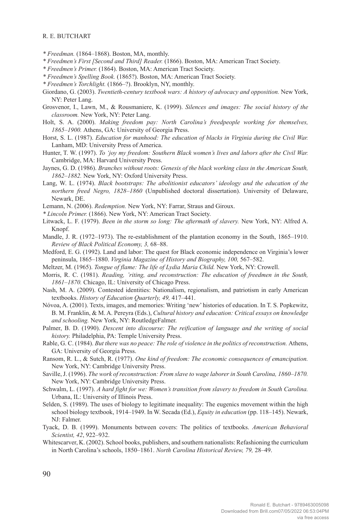- *\* Freedman.* (1864–1868). Boston, MA, monthly.
- *\* Freedmen's First [Second and Third] Reader.* (1866). Boston, MA: American Tract Society.
- *\* Freedmen's Primer.* (1864). Boston, MA: American Tract Society.
- *\* Freedmen's Spelling Book.* (1865?). Boston, MA: American Tract Society.
- *\* Freedmen's Torchlight.* (1866–?). Brooklyn, NY, monthly.
- Giordano, G. (2003). *Twentieth-century textbook wars: A history of advocacy and opposition*. New York, NY: Peter Lang.
- Grosvenor, I., Lawn, M., & Rousmaniere, K. (1999). *Silences and images: The social history of the classroom.* New York, NY: Peter Lang.
- Holt, S. A. (2000). *Making freedom pay: North Carolina's freedpeople working for themselves, 1865–1900.* Athens, GA: University of Georgia Press.
- Horst, S. L. (1987). *Education for manhood: The education of blacks in Virginia during the Civil War.*  Lanham, MD: University Press of America.
- Hunter, T. W. (1997). *To 'joy my freedom: Southern Black women's lives and labors after the Civil War.*  Cambridge, MA: Harvard University Press.
- Jaynes, G. D. (1986). *Branches without roots: Genesis of the black working class in the American South, 1862–1882.* New York, NY: Oxford University Press.
- Lang, W. L. (1974). *Black bootstraps: The abolitionist educators' ideology and the education of the northern freed Negro, 1828–1860* (Unpublished doctoral dissertation). University of Delaware, Newark, DE.
- Lemann, N. (2006). *Redemption.* New York, NY: Farrar, Straus and Giroux.
- *\* Lincoln Primer.* (1866). New York, NY: American Tract Society.
- Litwack, L. F. (1979). *Been in the storm so long: The aftermath of slavery.* New York, NY: Alfred A. Knopf.
- Mandle, J. R. (1972–1973). The re-establishment of the plantation economy in the South, 1865–1910. *Review of Black Political Economy, 3,* 68–88.
- Medford, E. G. (1992). Land and labor: The quest for Black economic independence on Virginia's lower peninsula, 1865–1880. *Virginia Magazine of History and Biography, 100,* 567–582.
- Meltzer, M. (1965). *Tongue of flame: The life of Lydia Maria Child.* New York, NY: Crowell.
- Morris, R. C. (1981). *Reading, 'riting, and reconstruction: The education of freedmen in the South, 1861–1870.* Chicago, IL: University of Chicago Press.
- Nash, M. A. (2009). Contested identities: Nationalism, regionalism, and patriotism in early American textbooks. *History of Education Quarterly, 49,* 417–441.
- Nóvoa, A. (2001). Texts, images, and memories: Writing 'new' histories of education. In T. S. Popkewitz, B. M. Franklin, & M. A. Pereyra (Eds.), *Cultural history and education: Critical essays on knowledge and schooling.* New York, NY: RoutledgeFalmer.
- Palmer, B. D. (1990). *Descent into discourse: The reification of language and the writing of social history.* Philadelphia, PA: Temple University Press.
- Rable, G. C. (1984). *But there was no peace: The role of violence in the politics of reconstruction.* Athens, GA: University of Georgia Press.
- Ransom, R. L., & Sutch, R. (1977). *One kind of freedom: The economic consequences of emancipation.*  New York, NY: Cambridge University Press.
- Saville, J. (1996). *The work of reconstruction: From slave to wage laborer in South Carolina, 1860–1870.*  New York, NY: Cambridge University Press.
- Schwalm, L. (1997). *A hard fight for we: Women's transition from slavery to freedom in South Carolina.*  Urbana, IL: University of Illinois Press.
- Selden, S. (1989). The uses of biology to legitimate inequality: The eugenics movement within the high school biology textbook, 1914–1949. In W. Secada (Ed.), *Equity in education* (pp. 118–145). Newark, NJ: Falmer.
- Tyack, D. B. (1999). Monuments between covers: The politics of textbooks. *American Behavioral Scientist, 42*, 922–932.
- Whitescarver, K. (2002). School books, publishers, and southern nationalists: Refashioning the curriculum in North Carolina's schools, 1850–1861. *North Carolina Historical Review, 79,* 28–49.